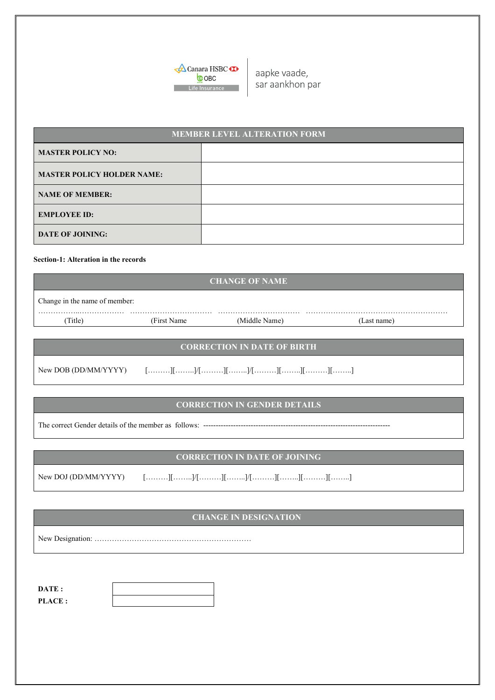

aapke vaade, sar aankhon par

| <b>MEMBER LEVEL ALTERATION FORM</b> |  |  |  |  |
|-------------------------------------|--|--|--|--|
| <b>MASTER POLICY NO:</b>            |  |  |  |  |
| <b>MASTER POLICY HOLDER NAME:</b>   |  |  |  |  |
| <b>NAME OF MEMBER:</b>              |  |  |  |  |
| <b>EMPLOYEE ID:</b>                 |  |  |  |  |
| <b>DATE OF JOINING:</b>             |  |  |  |  |

#### **Section-1: Alteration in the records**

|                               |              | <b>CHANGE OF NAME</b> |             |  |
|-------------------------------|--------------|-----------------------|-------------|--|
| Change in the name of member: |              |                       |             |  |
| Title)                        | (First Name) | (Middle Name)         | (Last name) |  |
|                               |              |                       |             |  |

## **CORRECTION IN DATE OF BIRTH**

New DOB (DD/MM/YYYY) [………][……..]/[………][……..]/[………][……..][………][……..]

### **CORRECTION IN GENDER DETAILS**

The correct Gender details of the member as follows: ---

# **CORRECTION IN DATE OF JOINING**

| New DOJ (DD/MM/YYYY) |  |  |  |  |  |  |  |  |
|----------------------|--|--|--|--|--|--|--|--|
|----------------------|--|--|--|--|--|--|--|--|

# **CHANGE IN DESIGNATION**

New Designation: ………………………………………………………

**DATE : PLACE :**